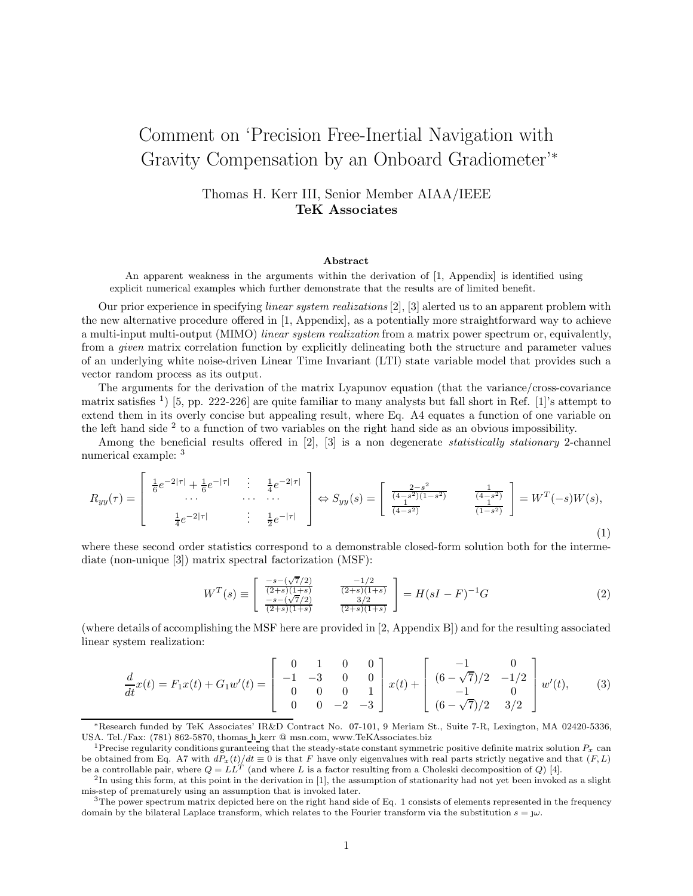## Comment on 'Precision Free-Inertial Navigation with Gravity Compensation by an Onboard Gradiometer'<sup>∗</sup>

Thomas H. Kerr III, Senior Member AIAA/IEEE **TeK Associates**

## **Abstract**

An apparent weakness in the arguments within the derivation of [1, Appendix] is identified using explicit numerical examples which further demonstrate that the results are of limited benefit.

Our prior experience in specifying *linear system realizations* [2], [3] alerted us to an apparent problem with the new alternative procedure offered in [1, Appendix], as a potentially more straightforward way to achieve a multi-input multi-output (MIMO) *linear system realization* from a matrix power spectrum or, equivalently, from a *given* matrix correlation function by explicitly delineating both the structure and parameter values of an underlying white noise-driven Linear Time Invariant (LTI) state variable model that provides such a vector random process as its output.

The arguments for the derivation of the matrix Lyapunov equation (that the variance/cross-covariance matrix satisfies  $\frac{1}{15}$ , pp. 222-226 are quite familiar to many analysts but fall short in Ref. [1]'s attempt to extend them in its overly concise but appealing result, where Eq. A4 equates a function of one variable on the left hand side <sup>2</sup> to a function of two variables on the right hand side as an obvious impossibility.

Among the beneficial results offered in [2], [3] is a non degenerate *statistically stationary* 2-channel numerical example: <sup>3</sup>

$$
R_{yy}(\tau) = \begin{bmatrix} \frac{1}{6}e^{-2|\tau|} + \frac{1}{6}e^{-|\tau|} & \frac{1}{4}e^{-2|\tau|} \\ \cdots & \cdots & \cdots \\ \frac{1}{4}e^{-2|\tau|} & \frac{1}{4}e^{-|\tau|} \end{bmatrix} \Leftrightarrow S_{yy}(s) = \begin{bmatrix} \frac{2-s^2}{(4-s^2)(1-s^2)} & \frac{1}{(4-s^2)} \\ \frac{1}{(4-s^2)} & \frac{1}{(1-s^2)} \end{bmatrix} = W^T(-s)W(s), \tag{1}
$$

where these second order statistics correspond to a demonstrable closed-form solution both for the intermediate (non-unique [3]) matrix spectral factorization (MSF):

$$
W^{T}(s) \equiv \begin{bmatrix} \frac{-s - (\sqrt{7}/2)}{(2+s)(1+s)} & \frac{-1/2}{(2+s)(1+s)}\\ \frac{-s - (\sqrt{7}/2)}{(2+s)(1+s)} & \frac{3/2}{(2+s)(1+s)} \end{bmatrix} = H(sI - F)^{-1}G
$$
 (2)

(where details of accomplishing the MSF here are provided in [2, Appendix B]) and for the resulting associated linear system realization:

$$
\frac{d}{dt}x(t) = F_1x(t) + G_1w'(t) = \begin{bmatrix} 0 & 1 & 0 & 0 \\ -1 & -3 & 0 & 0 \\ 0 & 0 & 0 & 1 \\ 0 & 0 & -2 & -3 \end{bmatrix} x(t) + \begin{bmatrix} -1 & 0 \\ (6 - \sqrt{7})/2 & -1/2 \\ -1 & 0 \\ (6 - \sqrt{7})/2 & 3/2 \end{bmatrix} w'(t), \quad (3)
$$

<sup>∗</sup>Research funded by TeK Associates' IR&D Contract No. 07-101, 9 Meriam St., Suite 7-R, Lexington, MA 02420-5336, USA. Tel./Fax: (781) 862-5870, thomas h kerr @ msn.com, www.TeKAssociates.biz

<sup>&</sup>lt;sup>1</sup>Precise regularity conditions guranteeing that the steady-state constant symmetric positive definite matrix solution  $P_x$  can be obtained from Eq. A7 with  $d\tilde{P}_x(t)/dt \equiv 0$  is that F have only eigenvalues with real parts strictly negative and that  $(F, L)$ <br>be a controllable pair, where  $Q = LL^T$  (and where L is a factor resulting from a Choleski dec

<sup>&</sup>lt;sup>2</sup>In using this form, at this point in the derivation in [1], the assumption of stationarity had not yet been invoked as a slight mis-step of prematurely using an assumption that is invoked later.

 $3$ The power spectrum matrix depicted here on the right hand side of Eq. 1 consists of elements represented in the frequency domain by the bilateral Laplace transform, which relates to the Fourier transform via the substitution  $s = \omega$ .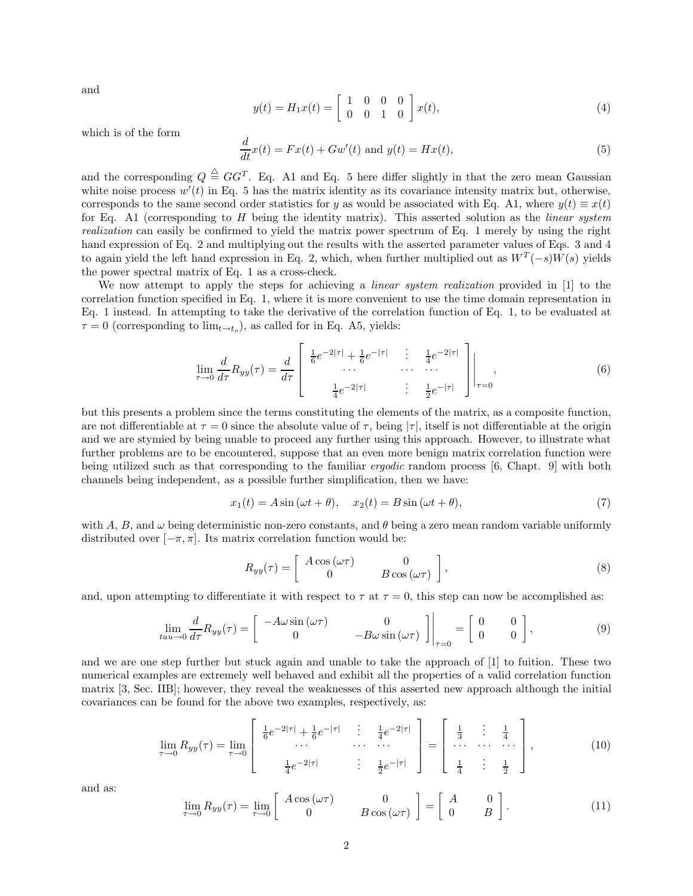and

$$
y(t) = H_1 x(t) = \begin{bmatrix} 1 & 0 & 0 & 0 \\ 0 & 0 & 1 & 0 \end{bmatrix} x(t), \tag{4}
$$

which is of the form

$$
\frac{d}{dt}x(t) = Fx(t) + Gw'(t) \text{ and } y(t) = Hx(t),\tag{5}
$$

and the corresponding  $Q \triangleq GG^T$ . Eq. A1 and Eq. 5 here differ slightly in that the zero mean Gaussian white noise process  $w'(t)$  in Eq. 5 has the matrix identity as its covariance intensity matrix but, otherwise, corresponds to the same second order statistics for y as would be associated with Eq. A1, where  $y(t) \equiv x(t)$ for Eq. A1 (corresponding to H being the identity matrix). This asserted solution as the *linear system realization* can easily be confirmed to yield the matrix power spectrum of Eq. 1 merely by using the right hand expression of Eq. 2 and multiplying out the results with the asserted parameter values of Eqs. 3 and 4 to again yield the left hand expression in Eq. 2, which, when further multiplied out as  $W^T(-s)W(s)$  yields the power spectral matrix of Eq. 1 as a cross-check.

We now attempt to apply the steps for achieving a *linear system realization* provided in [1] to the correlation function specified in Eq. 1, where it is more convenient to use the time domain representation in Eq. 1 instead. In attempting to take the derivative of the correlation function of Eq. 1, to be evaluated at  $\tau = 0$  (corresponding to  $\lim_{t \to t_o}$ ), as called for in Eq. A5, yields:

$$
\lim_{\tau \to 0} \frac{d}{d\tau} R_{yy}(\tau) = \frac{d}{d\tau} \begin{bmatrix} \frac{1}{6} e^{-2|\tau|} + \frac{1}{6} e^{-|\tau|} & \frac{1}{4} e^{-2|\tau|} \\ \cdots & \cdots & \cdots \\ \frac{1}{4} e^{-2|\tau|} & \frac{1}{2} e^{-|\tau|} \end{bmatrix} \bigg|_{\tau = 0}, \tag{6}
$$

but this presents a problem since the terms constituting the elements of the matrix, as a composite function, are not differentiable at  $\tau = 0$  since the absolute value of  $\tau$ , being  $|\tau|$ , itself is not differentiable at the origin and we are stymied by being unable to proceed any further using this approach. However, to illustrate what further problems are to be encountered, suppose that an even more benign matrix correlation function were being utilized such as that corresponding to the familiar *ergodic* random process [6, Chapt. 9] with both channels being independent, as a possible further simplification, then we have:

$$
x_1(t) = A\sin(\omega t + \theta), \quad x_2(t) = B\sin(\omega t + \theta), \tag{7}
$$

with A, B, and  $\omega$  being deterministic non-zero constants, and  $\theta$  being a zero mean random variable uniformly distributed over  $[-\pi, \pi]$ . Its matrix correlation function would be:

$$
R_{yy}(\tau) = \begin{bmatrix} A\cos(\omega\tau) & 0\\ 0 & B\cos(\omega\tau) \end{bmatrix},
$$
\n(8)

and, upon attempting to differentiate it with respect to  $\tau$  at  $\tau = 0$ , this step can now be accomplished as:

$$
\lim_{tau \to 0} \frac{d}{d\tau} R_{yy}(\tau) = \begin{bmatrix} -A\omega \sin(\omega \tau) & 0\\ 0 & -B\omega \sin(\omega \tau) \end{bmatrix} \bigg|_{\tau=0} = \begin{bmatrix} 0 & 0\\ 0 & 0 \end{bmatrix},
$$
\n(9)

and we are one step further but stuck again and unable to take the approach of [1] to fuition. These two numerical examples are extremely well behaved and exhibit all the properties of a valid correlation function matrix [3, Sec. IIB]; however, they reveal the weaknesses of this asserted new approach although the initial covariances can be found for the above two examples, respectively, as:

$$
\lim_{\tau \to 0} R_{yy}(\tau) = \lim_{\tau \to 0} \left[ \begin{array}{cccc} \frac{1}{6} e^{-2|\tau|} + \frac{1}{6} e^{-|\tau|} & \cdots & \frac{1}{4} e^{-2|\tau|} \\ \cdots & \cdots & \cdots \\ \frac{1}{4} e^{-2|\tau|} & \cdots & \frac{1}{2} e^{-|\tau|} \end{array} \right] = \left[ \begin{array}{cccc} \frac{1}{3} & \cdots & \frac{1}{4} \\ \cdots & \cdots & \cdots \\ \frac{1}{4} & \cdots & \frac{1}{2} \end{array} \right],
$$
(10)

and as:

$$
\lim_{\tau \to 0} R_{yy}(\tau) = \lim_{\tau \to 0} \left[ \begin{array}{cc} A \cos(\omega \tau) & 0 \\ 0 & B \cos(\omega \tau) \end{array} \right] = \left[ \begin{array}{cc} A & 0 \\ 0 & B \end{array} \right]. \tag{11}
$$